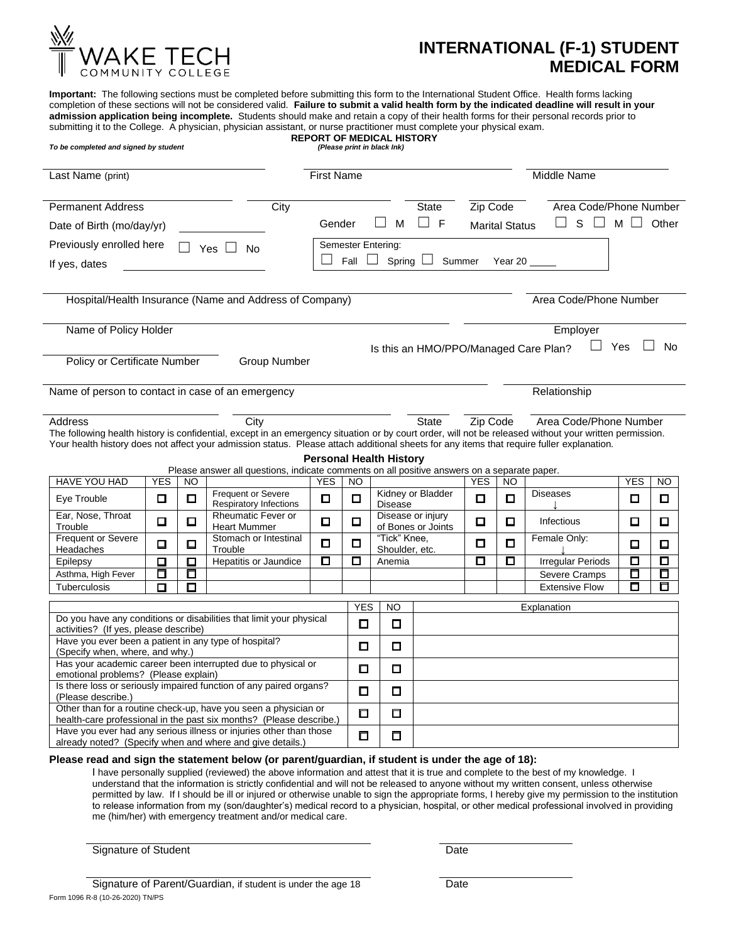

## **INTERNATIONAL (F-1) STUDENT MEDICAL FORM**

**Important:** The following sections must be completed before submitting this form to the International Student Office. Health forms lacking completion of these sections will not be considered valid. **Failure to submit a valid health form by the indicated deadline will result in your admission application being incomplete.** Students should make and retain a copy of their health forms for their personal records prior to submitting it to the College. A physician, physician assistant, or nurse practitioner must complete your physical exam. **REPORT OF MEDICAL HISTORY** *To be completed and signed by student (Please print in black Ink)*  Last Name (print) **First Name First Name First Name** Middle Name Permanent Address **City** City State Zip Code Area Code/Phone Number Date of Birth (mo/day/yr) Gender  $\square$  M  $\square$  F Marital Status  $\square$  S  $\square$  M  $\square$  Other Previously enrolled here  $\Box$  Yes  $\Box$  No Semester Entering:<br>If yes dates  $\Box$  Fall  $\Box$  Spring If yes, dates  $\Box$  The  $\Box$  Fall  $\Box$  Spring  $\Box$  Summer Year 20

Hospital/Health Insurance (Name and Address of Company) **Area Code/Phone Number** Area Code/Phone Number

| Name of Policy Holder        |              | Employer                                     |           |
|------------------------------|--------------|----------------------------------------------|-----------|
|                              |              | Yes<br>Is this an HMO/PPO/Managed Care Plan? | <b>No</b> |
| Policy or Certificate Number | Group Number |                                              |           |

Name of person to contact in case of an emergency example and the state of an emergency contact in case of an emergency

| Address                                                                                                                                                 | City | State | Zip Code | Area Code/Phone Number |
|---------------------------------------------------------------------------------------------------------------------------------------------------------|------|-------|----------|------------------------|
| The following health history is confidential, except in an emergency situation or by court order, will not be released without your written permission. |      |       |          |                        |
| Your health history does not affect your admission status. Please attach additional sheets for any items that require fuller explanation.               |      |       |          |                        |

**Personal Health History**

| Please answer all questions, indicate comments on all positive answers on a separate paper.                                            |                                              |        |                                                            |   |        |                                         |                          |   |            |                       |   |   |
|----------------------------------------------------------------------------------------------------------------------------------------|----------------------------------------------|--------|------------------------------------------------------------|---|--------|-----------------------------------------|--------------------------|---|------------|-----------------------|---|---|
| <b>HAVE YOU HAD</b>                                                                                                                    | <b>YES</b><br><b>YES</b><br><b>NO</b><br>NO. |        |                                                            |   |        | <b>YES</b><br>NO.                       |                          |   | <b>YES</b> | NO.                   |   |   |
| Eye Trouble                                                                                                                            | ◻                                            | □      | <b>Frequent or Severe</b><br><b>Respiratory Infections</b> | ◻ | $\Box$ | Kidney or Bladder<br><b>Disease</b>     |                          | □ | П          | <b>Diseases</b>       | П | ◻ |
| Ear, Nose, Throat<br>Trouble                                                                                                           | □                                            | $\Box$ | <b>Rheumatic Fever or</b><br><b>Heart Mummer</b>           | ◻ | 囗      | Disease or injury<br>of Bones or Joints |                          | ◻ | ◻          | Infectious            | □ | □ |
| <b>Frequent or Severe</b><br>Headaches                                                                                                 | ◻                                            | ◻      | Stomach or Intestinal<br>Trouble                           | ◘ | П      | "Tick" Knee.<br>Shoulder, etc.          |                          | ◻ | п          | Female Only:          | ◻ | 口 |
| Epilepsy                                                                                                                               | ◻                                            | $\Box$ | Hepatitis or Jaundice                                      | ◘ | 口      |                                         | Anemia                   |   | п          | Irregular Periods     | О | П |
| Asthma, High Fever                                                                                                                     | Π                                            | П      |                                                            |   |        |                                         |                          |   |            | Severe Cramps         | □ | П |
| <b>Tuberculosis</b>                                                                                                                    | ◻                                            | ◘      |                                                            |   |        |                                         |                          |   |            | <b>Extensive Flow</b> | □ | О |
|                                                                                                                                        |                                              |        |                                                            |   |        | <b>YES</b>                              |                          |   |            |                       |   |   |
|                                                                                                                                        |                                              |        |                                                            |   |        |                                         | <b>NO</b><br>Explanation |   |            |                       |   |   |
| Do you have any conditions or disabilities that limit your physical<br>activities? (If yes, please describe)                           |                                              |        |                                                            |   | O      | O                                       |                          |   |            |                       |   |   |
| Have you ever been a patient in any type of hospital?<br>(Specify when, where, and why.)                                               |                                              |        |                                                            |   | 0      | ◻                                       |                          |   |            |                       |   |   |
| Has your academic career been interrupted due to physical or<br>emotional problems? (Please explain)                                   |                                              |        |                                                            |   |        | Π                                       |                          |   |            |                       |   |   |
| Is there loss or seriously impaired function of any paired organs?<br>(Please describe.)                                               |                                              |        |                                                            |   |        | ◻                                       |                          |   |            |                       |   |   |
| Other than for a routine check-up, have you seen a physician or<br>health-care professional in the past six months? (Please describe.) |                                              |        |                                                            |   |        | ◻                                       |                          |   |            |                       |   |   |
| Have you ever had any serious illness or injuries other than those<br>already noted? (Specify when and where and give details.)        |                                              |        |                                                            |   |        | 口                                       |                          |   |            |                       |   |   |

## **Please read and sign the statement below (or parent/guardian, if student is under the age of 18):**

I have personally supplied (reviewed) the above information and attest that it is true and complete to the best of my knowledge. I understand that the information is strictly confidential and will not be released to anyone without my written consent, unless otherwise permitted by law. If I should be ill or injured or otherwise unable to sign the appropriate forms, I hereby give my permission to the institution to release information from my (son/daughter's) medical record to a physician, hospital, or other medical professional involved in providing me (him/her) with emergency treatment and/or medical care.

Signature of Student Date Date Date Date